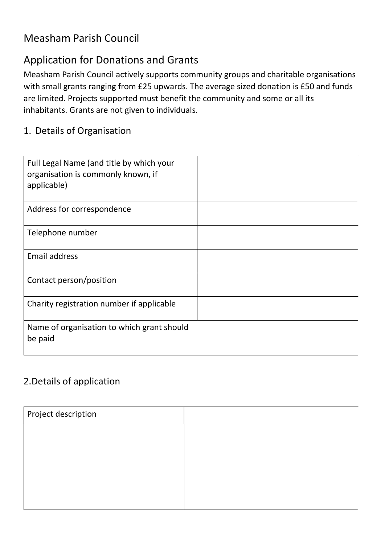## Measham Parish Council

## Application for Donations and Grants

Measham Parish Council actively supports community groups and charitable organisations with small grants ranging from £25 upwards. The average sized donation is £50 and funds are limited. Projects supported must benefit the community and some or all its inhabitants. Grants are not given to individuals.

## 1. Details of Organisation

| Full Legal Name (and title by which your<br>organisation is commonly known, if<br>applicable) |  |
|-----------------------------------------------------------------------------------------------|--|
| Address for correspondence                                                                    |  |
| Telephone number                                                                              |  |
| <b>Email address</b>                                                                          |  |
| Contact person/position                                                                       |  |
| Charity registration number if applicable                                                     |  |
| Name of organisation to which grant should<br>be paid                                         |  |

## 2.Details of application

| Project description |  |
|---------------------|--|
|                     |  |
|                     |  |
|                     |  |
|                     |  |
|                     |  |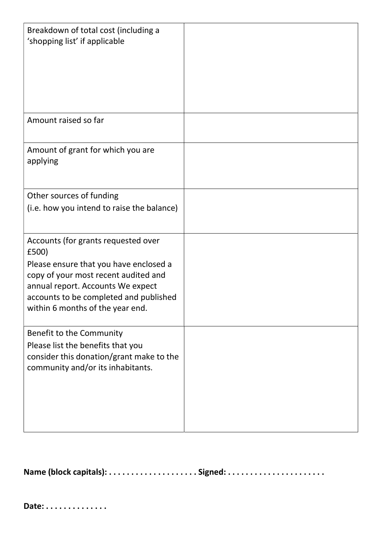| Breakdown of total cost (including a<br>'shopping list' if applicable                                                                                                                                                                             |  |
|---------------------------------------------------------------------------------------------------------------------------------------------------------------------------------------------------------------------------------------------------|--|
| Amount raised so far                                                                                                                                                                                                                              |  |
| Amount of grant for which you are<br>applying                                                                                                                                                                                                     |  |
| Other sources of funding<br>(i.e. how you intend to raise the balance)                                                                                                                                                                            |  |
|                                                                                                                                                                                                                                                   |  |
| Accounts (for grants requested over<br>£500)<br>Please ensure that you have enclosed a<br>copy of your most recent audited and<br>annual report. Accounts We expect<br>accounts to be completed and published<br>within 6 months of the year end. |  |
| Benefit to the Community<br>Please list the benefits that you<br>consider this donation/grant make to the<br>community and/or its inhabitants.                                                                                                    |  |

Name (block capitals): . . . . . . . . . . . . . . . . . . . . Signed: . . . . . . . . . . . . . . . . . . . . . .

Date: . . . . . . . . . . . . . .